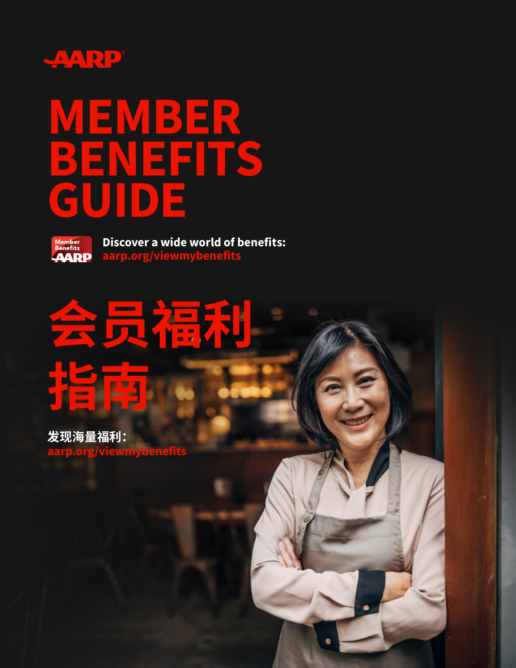

## **MEMBER BENEFITS GUIDE**



**Discover a wide world of benefits: [aarp.org/viewmybenefits](http://aarp.org/viewmybenefits)**

# **会员福利 指南**

**发现海量福利:** aarp.org/viewmyben**e**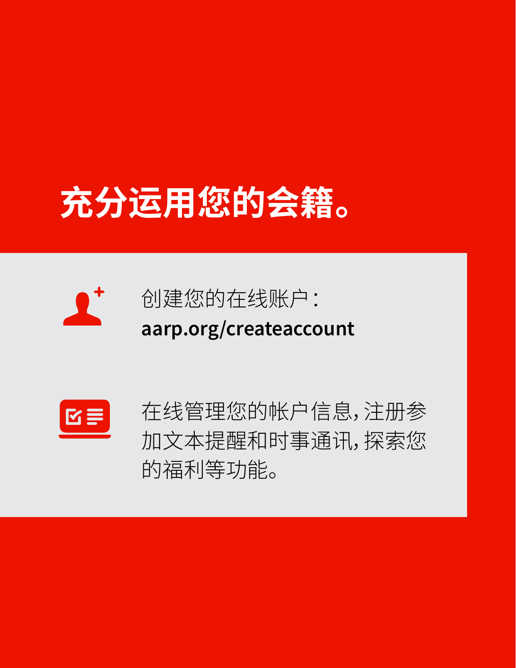## **充分运用您的会籍。**





在线管理您的帐户信息,注册参 加文本提醒和时事通讯,探索您 的福利等功能。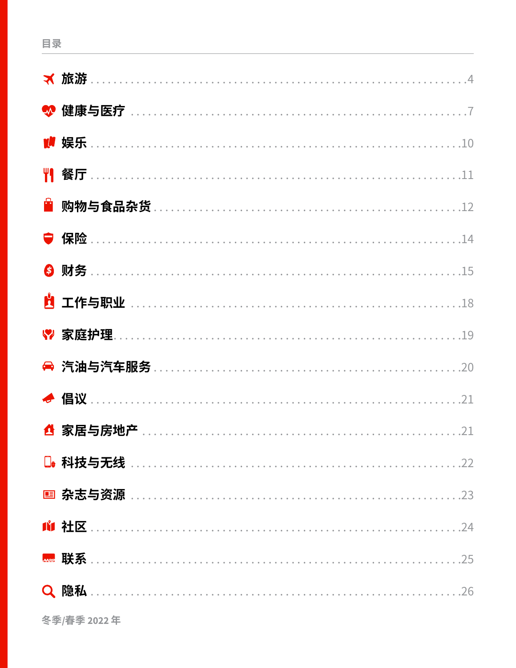|    | <b>★ 旅游</b> ……………………………………………………………………………4     |
|----|------------------------------------------------|
|    |                                                |
|    |                                                |
|    |                                                |
| Ĥ. | 购物与食品杂货………………………………………………………………12              |
|    |                                                |
| 6  |                                                |
|    | <u>的</u> 工作与职业 ………………………………………………………………18      |
|    | ♥ 家庭护理………………………………………………………………………19            |
|    |                                                |
|    |                                                |
|    |                                                |
|    |                                                |
|    |                                                |
|    |                                                |
|    | <u> 1ª 社区 ……………………………………………………………………………</u> 24 |
|    |                                                |
|    |                                                |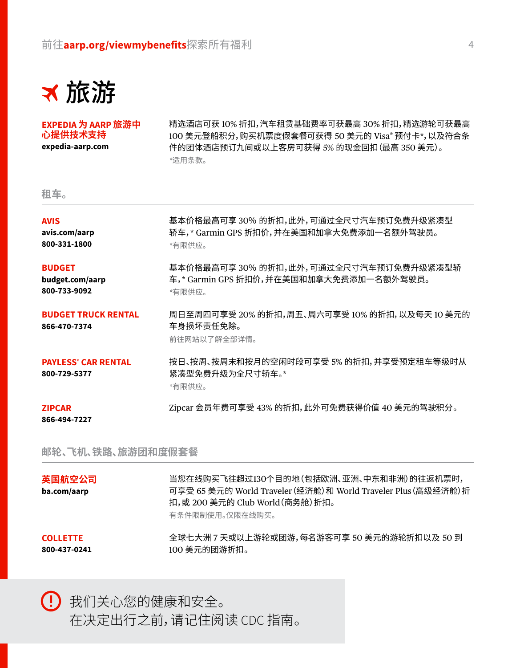

**EXPEDIA 为 AARP 旅游中 心提供技术支持 [expedia-aarp.com](http://expedia-aarp.com)**

精选酒店可获 10% 折扣,汽车租赁基础费率可获最高 30% 折扣,精选游轮可获最高 100 美元登船积分,购买机票度假套餐可获得 50 美元的 Visa® 预付卡\*,以及符合条 件的团体酒店预订九间或以上客房可获得 5% 的现金回扣(最高 350 美元)。 *\**适用条款。

#### **租车。**

| <b>AVIS</b><br>avis.com/aarp<br>800-331-1800          | 基本价格最高可享 30% 的折扣,此外,可通过全尺寸汽车预订免费升级紧凑型<br>轿车,* Garmin GPS 折扣价,并在美国和加拿大免费添加一名额外驾驶员。<br>*有限供应。 |
|-------------------------------------------------------|---------------------------------------------------------------------------------------------|
| <b>BUDGET</b><br>budget.com/aarp<br>800-733-9092      | 基本价格最高可享 30% 的折扣,此外,可通过全尺寸汽车预订免费升级紧凑型轿<br>车,* Garmin GPS 折扣价,并在美国和加拿大免费添加一名额外驾驶员。<br>*有限供应。 |
| <b>BUDGET TRUCK RENTAL</b><br>866-470-7374            | 周日至周四可享受 20% 的折扣,周五、周六可享受 10% 的折扣,以及每天 10 美元的<br>车身损坏责任免除。<br>前往网站以了解全部详情。                  |
| <b>PAYLESS<sup>®</sup> CAR RENTAL</b><br>800-729-5377 | 按日、按周、按周末和按月的空闲时段可享受 5% 的折扣,并享受预定租车等级时从<br>紧凑型免费升级为全尺寸轿车。*<br>*有限供应。                        |
| <b>ZIPCAR</b><br>866-494-7227                         | Zipcar 会员年费可享受 43% 的折扣,此外可免费获得价值 40 美元的驾驶积分。                                                |

**邮轮、飞机、铁路、旅游团和度假套餐**

| CALL ETTE             | 有条件限制使用。仅限在线购买。<br>本球非非洲 z 主式以上游协式用游 有夕游安哥克 EA 羊二的游热抵扣以下 EA 列                                                                                   |
|-----------------------|-------------------------------------------------------------------------------------------------------------------------------------------------|
| 英国航空公司<br>ba.com/aarp | 当您在线购买飞往超过130个目的地(包括欧洲、亚洲、中东和非洲)的往返机票时,<br>可享受 65 美元的 World Traveler (经济舱) 和 World Traveler Plus (高级经济舱) 折<br>扣, 或 200 美元的 Club World (商务舱) 折扣。 |

**COLLETTE [800-437-0241](tel: 18004370241)**

全球七大洲 7 天或以上游轮或团游,每名游客可享 50 美元的游轮折扣以及 50 到 100 美元的团游折扣。

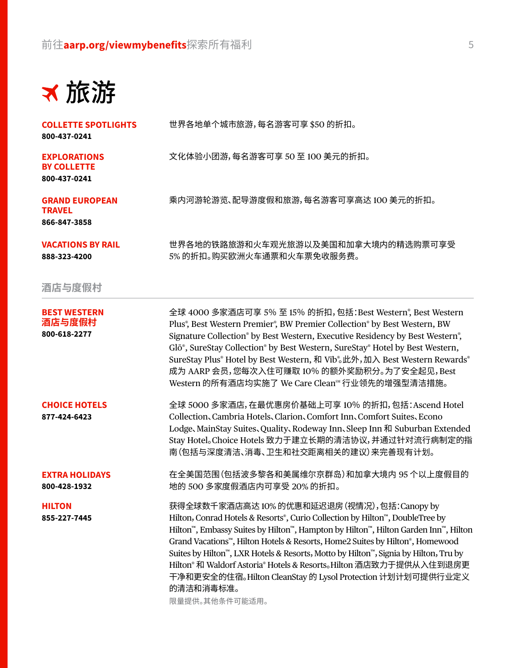旅游

**COLLETTE SPOTLIGHTS**

世界各地单个城市旅游,每名游客可享 \$50 的折扣。

文化体验小团游,每名游客可享 50 至 100 美元的折扣。

5% 的折扣。购买欧洲火车通票和火车票免收服务费。

乘内河游轮游览、配导游度假和旅游,每名游客可享高达 100 美元的折扣。

世界各地的铁路旅游和火车观光旅游以及美国和加拿大境内的精选购票可享受

**[800-437-0241](tel: 18004370241)**

**EXPLORATIONS BY COLLETTE [800-437-0241](tel: 18004370241)**

**GRAND EUROPEAN TRAVEL [866-847-3858](tel: 18668473858)**

**VACATIONS BY RAIL [888-323-4200](tel: 18883234200)**

#### **酒店与度假村**

**BEST WESTERN 酒店与度假村 [800-618-2277](tel: 18006182277)**

全球 4000 多家酒店可享 5% 至 15% 的折扣,包括:Best Western® , Best Western Plus® , Best Western Premier® , BW Premier Collection® by Best Western, BW Signature Collection® by Best Western, Executive Residency by Best Western® , Glō®, SureStay Collection® by Best Western, SureStay® Hotel by Best Western, SureStay Plus® Hotel by Best Western, 和 Vīb® 。此外,加入 Best Western Rewards® 成为 AARP 会员,您每次入住可赚取 10% 的额外奖励积分。为了安全起见,Best Western 的所有酒店均实施了 We Care Cleanst 行业领先的增强型清洁措施。

全球 5000 多家酒店,在最优惠房价基础上可享 10% 的折扣,包括:Ascend Hotel Collection、Cambria Hotels、Clarion、Comfort Inn、Comfort Suites、Econo

Lodge、MainStay Suites、Quality、Rodeway Inn、Sleep Inn 和 Suburban Extended Stay Hotel。Choice Hotels 致力于建立长期的清洁协议,并通过针对流行病制定的指

南(包括与深度清洁、消毒、卫生和社交距离相关的建议)来完善现有计划。

**CHOICE HOTELS [877-424-6423](tel: 18774246423)**

**EXTRA HOLIDAYS [800-428-1932](tel: 18004281932)**

**HILTON [855-227-7445](tel: 18552277445)**

在全美国范围(包括波多黎各和美属维尔京群岛)和加拿大境内 95 个以上度假目的 地的 500 多家度假酒店内可享受 20% 的折扣。 获得全球数千家酒店高达 10% 的优惠和延迟退房(视情况),包括:Canopy by

Hilton,Conrad Hotels & Resorts® , Curio Collection by Hilton™, DoubleTree by Hilton™, Embassy Suites by Hilton™, Hampton by Hilton™, Hilton Garden Inn™, Hilton Grand Vacations™, Hilton Hotels & Resorts, Home2 Suites by Hilton® , Homewood Suites by Hilton™, LXR Hotels & Resorts, Motto by Hilton™, Signia by Hilton, Tru by Hilton® 和 Waldorf Astoria® Hotels & Resorts。Hilton 酒店致力于提供从入住到退房更 干净和更安全的住宿。Hilton CleanStay 的 Lysol Protection 计划计划可提供行业定义 的清洁和消毒标准。

限量提供。其他条件可能适用。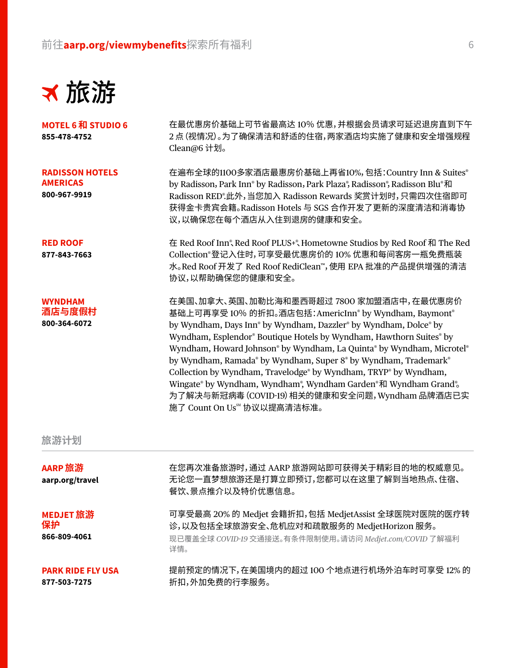

**MOTEL 6 和 STUDIO 6 [855-478-4752](tel: 18554784752)**

**RADISSON HOTELS AMERICAS [800-967-9919](tel: 18008679919)**

**RED ROOF [877-843-7663](tel: 18778437663)**

**WYNDHAM 酒店与度假村 [800-364-6072](tel: 18003646072)**

在最优惠房价基础上可节省最高达 10% 优惠,并根据会员请求可延迟退房直到下午 2 点(视情况)。为了确保清洁和舒适的住宿,两家酒店均实施了健康和安全增强规程 Clean@6 计划。

在遍布全球的1100多家酒店最惠房价基础上再省10%,包括:Country Inn & Suites® by Radisson, Park Inn® by Radisson, Park Plaza®, Radisson®, Radisson Blu®和 Radisson RED® .此外,当您加入 Radisson Rewards 奖赏计划时,只需四次住宿即可 获得金卡贵宾会籍。Radisson Hotels 与 SGS 合作开发了更新的深度清洁和消毒协 议,以确保您在每个酒店从入住到退房的健康和安全。

在 Red Roof Inn®、Red Roof PLUS+®、Hometowne Studios by Red Roof 和 The Red Collection®登记入住时,可享受最优惠房价的 10% 优惠和每间客房一瓶免费瓶装 水。Red Roof 开发了 Red Roof RediClean™,使用 EPA 批准的产品提供增强的清洁 协议,以帮助确保您的健康和安全。

在美国、加拿大、英国、加勒比海和墨西哥超过 7800 家加盟酒店中,在最优惠房价 基础上可再享受 10% 的折扣。酒店包括:AmericInn® by Wyndham, Baymont® by Wyndham, Days Inn® by Wyndham, Dazzler® by Wyndham, Dolce® by Wyndham, Esplendor® Boutique Hotels by Wyndham, Hawthorn Suites® by Wyndham, Howard Johnson<sup>®</sup> by Wyndham, La Quinta<sup>®</sup> by Wyndham, Microtel<sup>®</sup> by Wyndham, Ramada® by Wyndham, Super 8® by Wyndham, Trademark® Collection by Wyndham, Travelodge® by Wyndham, TRYP® by Wyndham, Wingate® by Wyndham, Wyndham®, Wyndham Garden®和 Wyndham Grand®。 为了解决与新冠病毒(COVID-19)相关的健康和安全问题,Wyndham 品牌酒店已实 施了 Count On Us<sup>sM</sup> 协议以提高清洁标准。

#### **旅游计划**

| AARP 旅游<br>aarp.org/travel               | 在您再次准备旅游时,通过 AARP 旅游网站即可获得关于精彩目的地的权威意见。<br>无论您一直梦想旅游还是打算立即预订,您都可以在这里了解到当地热点、住宿、<br>餐饮、景点推介以及特价优惠信息。                                                                |
|------------------------------------------|--------------------------------------------------------------------------------------------------------------------------------------------------------------------|
| MEDJET 旅游<br>保护<br>866-809-4061          | 可享受最高 20% 的 Medjet 会籍折扣, 包括 MedjetAssist 全球医院对医院的医疗转<br>诊,以及包括全球旅游安全、危机应对和疏散服务的 MedjetHorizon 服务。<br>现已覆盖全球 COVID-19 交通接送。有条件限制使用。请访问 Medjet.com/COVID 了解福利<br>详情。 |
| <b>PARK RIDE FLY USA</b><br>877-503-7275 | 提前预定的情况下,在美国境内的超过 100 个地点进行机场外泊车时可享受 12% 的<br>折扣,外加免费的行李服务。                                                                                                        |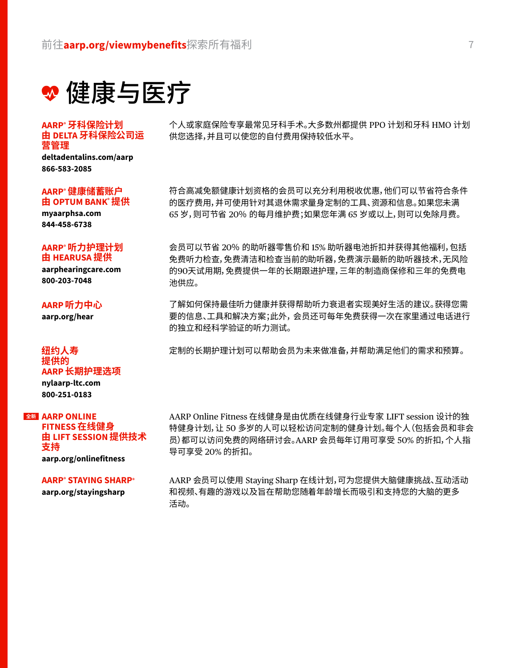❤ 健康与医疗

#### **AARP® 牙科保险计划 由 DELTA 牙科保险公司运 营管理**

**[deltadentalins.com/aarp](http://deltadentalins.com/aarp) [866-583-2085](tel: 18665832085)**

#### **AARP® 健康储蓄账户 由 OPTUM BANK® 提供**

**[myaarphsa.com](http://myaarphsa.com) [844-458-6738](tel: 18444586738)**

#### **AARP® 听力护理计划 由 HEARUSA 提供**

**[aarphearingcare.com](http://aarphearingcare.com) [800-203-7048](tel: 18002037048)**

#### **AARP 听力中心**

**[aarp.org/hear](http://aarp.org/hear)**

#### **纽约人寿 提供的 AARP 长期护理选项 [nylaarp-ltc.com](http://nylaarp-ltc.com) [800-251-0183](tel: 18002510183)**

#### **AARP ONLINE 全新**

**FITNESS 在线健身 由 LIFT SESSION 提供技术 支持 [aarp.org/onlinefitness](http://aarp.org/onlinefitness)**

#### **AARP® STAYING SHARP®**

**[aarp.org/stayingsharp](http://aarp.org/stayingsharp)**

个人或家庭保险专享最常见牙科手术。大多数州都提供 PPO 计划和牙科 HMO 计划 供您选择,并且可以使您的自付费用保持较低水平。

符合高减免额健康计划资格的会员可以充分利用税收优惠,他们可以节省符合条件 的医疗费用,并可使用针对其退休需求量身定制的工具、资源和信息。如果您未满 65 岁,则可节省 20% 的每月维护费;如果您年满 65 岁或以上,则可以免除月费。

会员可以节省 20% 的助听器零售价和 15% 助听器电池折扣并获得其他福利,包括 免费听力检查,免费清洁和检查当前的助听器,免费演示最新的助听器技术,无风险 的90天试用期,免费提供一年的长期跟进护理,三年的制造商保修和三年的免费电 池供应。

了解如何保持最佳听力健康并获得帮助听力衰退者实现美好生活的建议。获得您需 要的信息、工具和解决方案;此外,会员还可每年免费获得一次在家里通过电话进行 的独立和经科学验证的听力测试。

定制的长期护理计划可以帮助会员为未来做准备,并帮助满足他们的需求和预算。

AARP Online Fitness 在线健身是由优质在线健身行业专家 LIFT session 设计的独 特健身计划,让 50 多岁的人可以轻松访问定制的健身计划。每个人(包括会员和非会 员)都可以访问免费的网络研讨会。AARP 会员每年订用可享受 50% 的折扣,个人指 导可享受 20% 的折扣。

AARP 会员可以使用 Staying Sharp 在线计划,可为您提供大脑健康挑战、互动活动 和视频、有趣的游戏以及旨在帮助您随着年龄增长而吸引和支持您的大脑的更多 活动。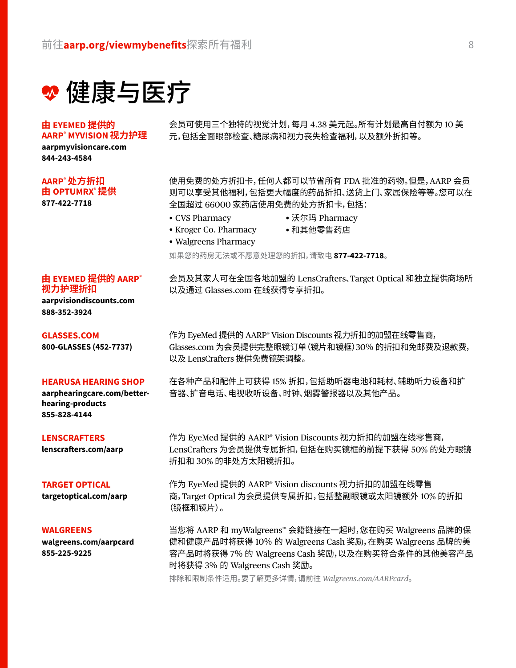❤ 健康与医疗

#### **由 EYEMED 提供的 AARP® MYVISION 视力护理**

**[aarpmyvisioncare.com](http://aarpmyvisioncare.com) [844-243-4584](tel: 18442434584)**

#### **AARP® 处方折扣 由 OPTUMRX® 提供**

**[877-422-7718](tel: 18774227718)**

会员可使用三个独特的视觉计划,每月 4.38 美元起。所有计划最高自付额为 10 美 元,包括全面眼部检查、糖尿病和视力丧失检查福利,以及额外折扣等。

使用免费的处方折扣卡,任何人都可以节省所有 FDA 批准的药物。但是,AARP 会员 则可以享受其他福利,包括更大幅度的药品折扣、送货上门、家属保险等等。您可以在 全国超过 66000 家药店使用免费的处方折扣卡,包括:

- CVS Pharmacy
- 沃尔玛 Pharmacy
- Kroger Co. Pharmacy
- 和其他零售药店
- Walgreens Pharmacy

如果您的药房无法或不愿意处理您的折扣,请致电 **[877-422-7718](tel: 18774227718)**。

会员及其家人可在全国各地加盟的 LensCrafters、Target Optical 和独立提供商场所 以及通过 [Glasses.com](http://Glasses.com) 在线获得专享折扣。

**视力护理折扣 [aarpvisiondiscounts.com](http://aarpvisiondiscounts.com) [888-352-3924](tel: 18883523924)**

**由 EYEMED 提供的 AARP®**

**GLASSES.COM [800-GLASSES \(452-7737\)](tel: 18004527737)**

#### **HEARUSA HEARING SHOP**

**[aarphearingcare.com/better](http://aarphearingcare.com/better-hearing-products)[hearing-products](http://aarphearingcare.com/better-hearing-products) [855-828-4144](tel: 18558284144)**

#### **LENSCRAFTERS**

**lenscrafters.com/aarp**

#### **TARGET OPTICAL**

**targetoptical.com/aarp**

#### **WALGREENS**

**[walgreens.com/aarpcard](http://walgreens.com/aarpcard) [855-225-9225](tel: 18552259225)**

作为 EyeMed 提供的 AARP® Vision Discounts 视力折扣的加盟在线零售商, [Glasses.com](http://Glasses.com) 为会员提供完整眼镜订单(镜片和镜框)30% 的折扣和免邮费及退款费, 以及 LensCrafters 提供免费镜架调整。

在各种产品和配件上可获得 15% 折扣,包括助听器电池和耗材、辅助听力设备和扩 音器、扩音电话、电视收听设备、时钟、烟雾警报器以及其他产品。

作为 EyeMed 提供的 AARP® Vision Discounts 视力折扣的加盟在线零售商, LensCrafters 为会员提供专属折扣,包括在购买镜框的前提下获得 50% 的处方眼镜 折扣和 30% 的非处方太阳镜折扣。

作为 EyeMed 提供的 AARP® Vision discounts 视力折扣的加盟在线零售 商,Target Optical 为会员提供专属折扣,包括整副眼镜或太阳镜额外 10% 的折扣 (镜框和镜片)。

当您将 AARP 和 myWalgreens™ 会籍链接在一起时,您在购买 Walgreens 品牌的保 健和健康产品时将获得 10% 的 Walgreens Cash 奖励,在购买 Walgreens 品牌的美 容产品时将获得 7% 的 Walgreens Cash 奖励,以及在购买符合条件的其他美容产品 时将获得 3% 的 Walgreens Cash 奖励。

排除和限制条件适用。要了解更多详情,请前往 *[Walgreens.com/AARPcard](http://Walgreens.com/AARPcard)*。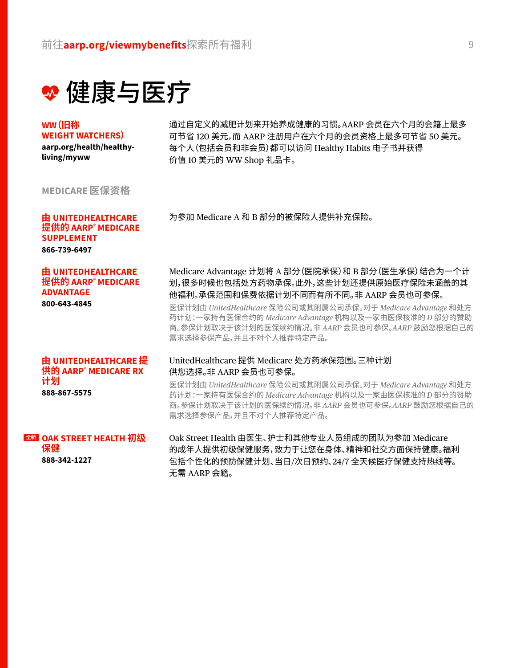❤ 健康与医疗

**WW(旧称 WEIGHT WATCHERS)**

**[aarp.org/health/h](http://aarp.org/health/healthy-living/myww)ealthyliving/myww**

通过自定义的减肥计划来开始养成健康的习惯。AARP 会员在六个月的会籍上最多 可节省 120 美元,而 AARP 注册用户在六个月的会员资格上最多可节省 50 美元。 每个人(包括会员和非会员)都可以访问 Healthy Habits 电子书并获得 价值 10 美元的 WW Shop 礼品卡。

#### **MEDICARE 医保资格**

**由 UNITEDHEALTHCARE 提供的 AARP® MEDICARE**  为参加 Medicare A 和 B 部分的被保险人提供补充保险。

**SUPPLEMENT [866-739-6497](tel: 18667396497) 由 UNITEDHEALTHCARE** 

**提供的 AARP® MEDICARE ADVANTAGE**

**[800-643-4845](tel: 18006434845)**

Medicare Advantage 计划将 A 部分(医院承保)和 B 部分(医生承保)结合为一个计 划,很多时候也包括处方药物承保。此外,这些计划还提供原始医疗保险未涵盖的其 他福利。承保范围和保费依据计划不同而有所不同。非 AARP 会员也可参保。

医保计划由 *UnitedHealthcare* 保险公司或其附属公司承保。对于 *Medicare Advantage* 和处方 药计划:一家持有医保合约的 *Medicare Advantage* 机构以及一家由医保核准的 *D* 部分的赞助 商。参保计划取决于该计划的医保续约情况。非 *AARP* 会员也可参保。*AARP* 鼓励您根据自己的 需求选择参保产品,并且不对个人推荐特定产品。

#### **由 UNITEDHEALTHCARE 提 供的 AARP® MEDICARE RX 计划 [888-867-5575](tel: 18888675575)**

#### UnitedHealthcare 提供 Medicare 处方药承保范围。三种计划 供您选择。非 AARP 会员也可参保。

医保计划由 *UnitedHealthcare* 保险公司或其附属公司承保。对于 *Medicare Advantage* 和处方 药计划:一家持有医保合约的 *Medicare Advantage* 机构以及一家由医保核准的 *D* 部分的赞助 商。参保计划取决于该计划的医保续约情况。非 *AARP* 会员也可参保。*AARP* 鼓励您根据自己的 需求选择参保产品,并且不对个人推荐特定产品。

#### **OAK STREET HEALTH 初级 全新保健 [888-342-1227](tel: 18883421227)**

Oak Street Health 由医生、护士和其他专业人员组成的团队为参加 Medicare 的成年人提供初级保健服务,致力于让您在身体、精神和社交方面保持健康。福利 包括个性化的预防保健计划、当日/次日预约、24/7 全天候医疗保健支持热线等。 无需 AARP 会籍。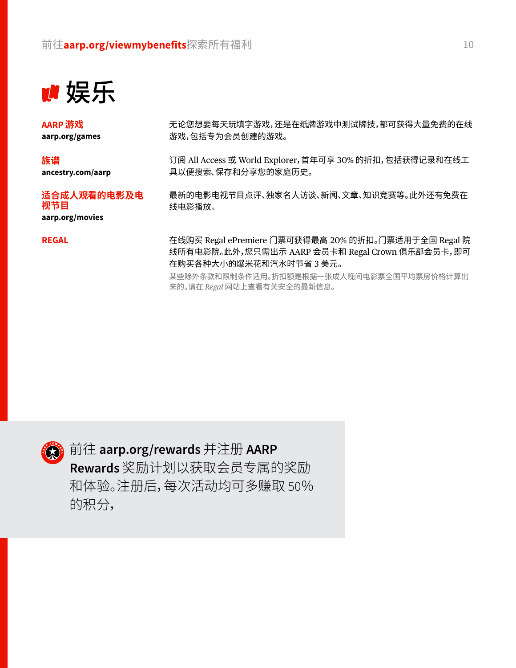

**AARP 游戏 [aarp.org/games](http://aarp.org/games)**

**族谱 [ancestry.com/aarp](http://ancestry.com/aarp)**

#### **适合成人观看的电影及电 视节目**

**[aarp.org/movies](http://aarp.org/movies)**

**REGAL**

无论您想要每天玩填字游戏,还是在纸牌游戏中测试牌技,都可获得大量免费的在线 游戏,包括专为会员创建的游戏。

订阅 All Access 或 World Explorer,首年可享 30% 的折扣,包括获得记录和在线工 具以便搜索、保存和分享您的家庭历史。

最新的电影电视节目点评、独家名人访谈、新闻、文章、知识竞赛等。此外还有免费在 线电影播放。

在线购买 Regal ePremiere 门票可获得最高 20% 的折扣。门票适用于全国 Regal 院 线所有电影院。此外,您只需出示 AARP 会员卡和 Regal Crown 俱乐部会员卡,即可 在购买各种大小的爆米花和汽水时节省 3 美元。

某些除外条款和限制条件适用。折扣额是根据一张成人晚间电影票全国平均票房价格计算出 来的。请在 *Regal* 网站上查看有关安全的最新信息。



前往 **[aarp.org/rewards](http://aarp.org/rewards)** 并注册 **AARP Rewards** 奖励计划以获取会员专属的奖励 和体验。注册后,每次活动均可多赚取 50% 的积分,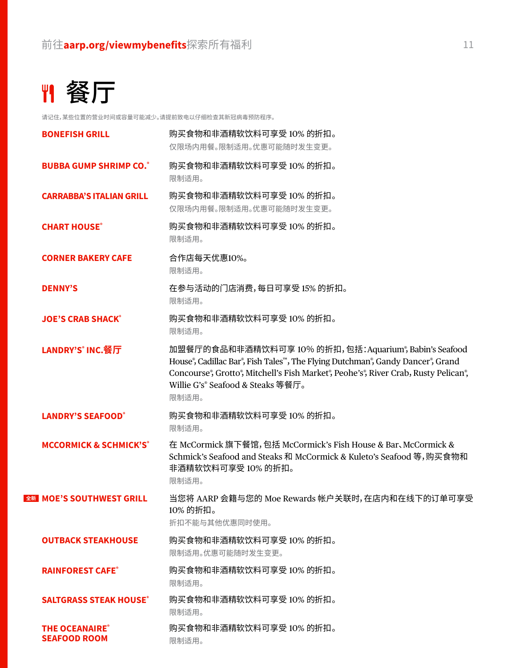## 餐厅

请记住,某些位置的营业时间或容量可能减少。请提前致电以仔细检查其新冠病毒预防程序。

| <b>BONEFISH GRILL</b>                       | 购买食物和非酒精软饮料可享受 10% 的折扣。<br>仅限场内用餐。限制适用。优惠可能随时发生变更。                                                                                                                                                                                                                                                                |
|---------------------------------------------|-------------------------------------------------------------------------------------------------------------------------------------------------------------------------------------------------------------------------------------------------------------------------------------------------------------------|
| <b>BUBBA GUMP SHRIMP CO.</b>                | 购买食物和非酒精软饮料可享受 10% 的折扣。<br>限制适用。                                                                                                                                                                                                                                                                                  |
| <b>CARRABBA'S ITALIAN GRILL</b>             | 购买食物和非酒精软饮料可享受 10% 的折扣。<br>仅限场内用餐。限制适用。优惠可能随时发生变更。                                                                                                                                                                                                                                                                |
| <b>CHART HOUSE®</b>                         | 购买食物和非酒精软饮料可享受 10% 的折扣。<br>限制适用。                                                                                                                                                                                                                                                                                  |
| <b>CORNER BAKERY CAFE</b>                   | 合作店每天优惠10%。<br>限制适用。                                                                                                                                                                                                                                                                                              |
| <b>DENNY'S</b>                              | 在参与活动的门店消费,每日可享受 15% 的折扣。<br>限制适用。                                                                                                                                                                                                                                                                                |
| <b>JOE'S CRAB SHACK®</b>                    | 购买食物和非酒精软饮料可享受 10% 的折扣。<br>限制适用。                                                                                                                                                                                                                                                                                  |
| LANDRY'S <sup>®</sup> INC. 餐厅               | 加盟餐厅的食品和非酒精饮料可享10% 的折扣,包括:Aquarium®, Babin's Seafood<br>House <sup>®</sup> , Cadillac Bar <sup>®</sup> , Fish Tales™, The Flying Dutchman®, Gandy Dancer®, Grand<br>Concourse®, Grotto®, Mitchell's Fish Market®, Peohe's®, River Crab, Rusty Pelican®,<br>Willie G's <sup>®</sup> Seafood & Steaks 等餐厅。<br>限制适用。 |
| <b>LANDRY'S SEAFOOD®</b>                    | 购买食物和非酒精软饮料可享受10%的折扣。<br>限制适用。                                                                                                                                                                                                                                                                                    |
| <b>MCCORMICK &amp; SCHMICK'S®</b>           | 在 McCormick 旗下餐馆, 包括 McCormick's Fish House & Bar, McCormick &<br>Schmick's Seafood and Steaks 和 McCormick & Kuleto's Seafood 等, 购买食物和<br>非酒精软饮料可享受10%的折扣。<br>限制适用。                                                                                                                                               |
| 全新 MOE'S SOUTHWEST GRILL                    | 当您将 AARP 会籍与您的 Moe Rewards 帐户关联时,在店内和在线下的订单可享受<br>10% 的折扣。<br>折扣不能与其他优惠同时使用。                                                                                                                                                                                                                                      |
| <b>OUTBACK STEAKHOUSE</b>                   | 购买食物和非酒精软饮料可享受 10% 的折扣。<br>限制适用。优惠可能随时发生变更。                                                                                                                                                                                                                                                                       |
| <b>RAINFOREST CAFE®</b>                     | 购买食物和非酒精软饮料可享受 10% 的折扣。<br>限制适用。                                                                                                                                                                                                                                                                                  |
| <b>SALTGRASS STEAK HOUSE®</b>               | 购买食物和非酒精软饮料可享受 10% 的折扣。<br>限制适用。                                                                                                                                                                                                                                                                                  |
| <b>THE OCEANAIRE</b><br><b>SEAFOOD ROOM</b> | 购买食物和非酒精软饮料可享受 10% 的折扣。<br>限制适用。                                                                                                                                                                                                                                                                                  |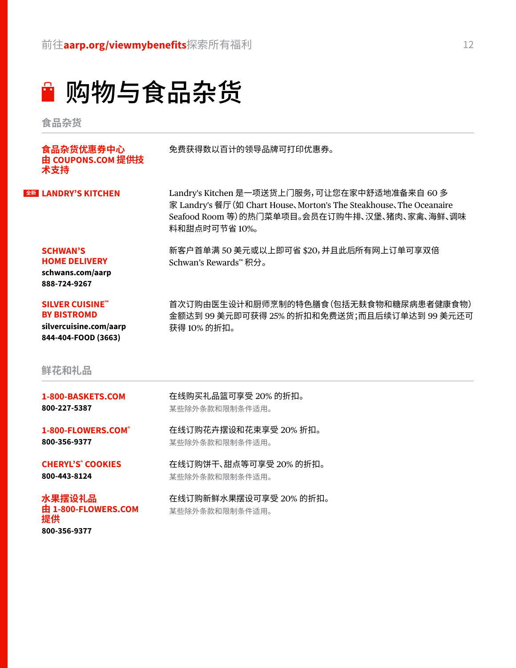购物与食品杂货

**食品杂货**

| 食品杂货优惠券中心<br>由 COUPONS.COM 提供技<br>术支持                                                         | 免费获得数以百计的领导品牌可打印优惠券。                                                                                                                                                                |
|-----------------------------------------------------------------------------------------------|-------------------------------------------------------------------------------------------------------------------------------------------------------------------------------------|
| 全新 LANDRY'S KITCHEN                                                                           | Landry's Kitchen 是一项送货上门服务,可让您在家中舒适地准备来自60多<br>家 Landry's 餐厅 (如 Chart House、Morton's The Steakhouse、The Oceanaire<br>Seafood Room 等)的热门菜单项目。会员在订购牛排、汉堡、猪肉、家禽、海鲜、调味<br>料和甜点时可节省 10%。 |
| <b>SCHWAN'S</b><br><b>HOME DELIVERY</b><br>schwans.com/aarp<br>888-724-9267                   | 新客户首单满 50 美元或以上即可省 \$20, 并且此后所有网上订单可享双倍<br>Schwan's Rewards™ 积分。                                                                                                                    |
| <b>SILVER CUISINE"</b><br><b>BY BISTROMD</b><br>silvercuisine.com/aarp<br>844-404-FOOD (3663) | 首次订购由医生设计和厨师烹制的特色膳食(包括无麸食物和糖尿病患者健康食物)<br>金额达到 99 美元即可获得 25% 的折扣和免费送货;而且后续订单达到 99 美元还可<br>获得 10% 的折扣。                                                                                |

#### **鲜花和礼品**

**提供**

**[800-356-9377](tel: 18003569377)**

| 1-800-BASKETS.COM        | 在线购买礼品篮可享受 20% 的折扣。    |
|--------------------------|------------------------|
| 800-227-5387             | 某些除外条款和限制条件适用。         |
| 1-800-FLOWERS.COM®       | 在线订购花卉摆设和花束享受 20% 折扣。  |
| 800-356-9377             | 某些除外条款和限制条件适用。         |
| <b>CHERYL'S' COOKIES</b> | 在线订购饼干、甜点等可享受 20% 的折扣。 |
| 800-443-8124             | 某些除外条款和限制条件适用。         |
| 水果摆设礼品                   | 在线订购新鲜水果摆设可享受 20% 的折扣。 |
| 由 1-800-FLOWERS.COM      | 某些除外条款和限制条件适用。         |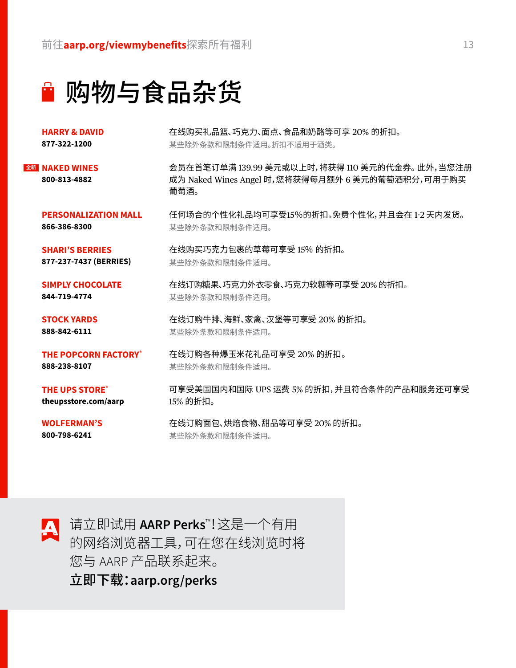■ 购物与食品杂货

**HARRY & DAVID [877-322-1200](tel: 18773221200)**

**NAKED WINES 全新[800-813-4882](tel: 18008134882)**

在线购买礼品篮、巧克力、面点、食品和奶酪等可享 20% 的折扣。 某些除外条款和限制条件适用。折扣不适用于酒类。

在线订购糖果、巧克力外衣零食、巧克力软糖等可享受 20% 的折扣。

某些除外条款和限制条件适用。

某些除外条款和限制条件适用。

某些除外条款和限制条件适用。

某些除外条款和限制条件适用。

某些除外条款和限制条件适用。

会员在首笔订单满 139.99 美元或以上时,将获得 110 美元的代金券。此外,当您注册 成为 Naked Wines Angel 时,您将获得每月额外 6 美元的葡萄酒积分,可用于购买 葡萄酒。

任何场合的个性化礼品均可享受15%的折扣。免费个性化,并且会在 1-2 天内发货。

**PERSONALIZATION MALL [866-386-8300](tel: 18663868300)**

**SHARI'S BERRIES [877-237-7437 \(BERRIES\)](tel: 18772372737)**

**SIMPLY CHOCOLATE [844-719-4774](tel: 18447194774)**

**STOCK YARDS [888-842-6111](tel: 18888426111)**

**THE POPCORN FACTORY® [888-238-8107](tel: 18882388107)**

**THE UPS STORE® [theupsstore.com/aarp](http://theupsstore.com/aarp)** 可享受美国国内和国际 UPS 运费 5% 的折扣,并且符合条件的产品和服务还可享受 15% 的折扣。

**WOLFERMAN'S [800-798-6241](tel: 18007986241)**

在线订购面包、烘焙食物、甜品等可享受 20% 的折扣。 某些除外条款和限制条件适用。

在线订购牛排、海鲜、家禽、汉堡等可享受 20% 的折扣。

在线订购各种爆玉米花礼品可享受 20% 的折扣。

在线购买巧克力包裹的草莓可享受 15% 的折扣。

■ 请立即试用 AARP Perks<sup>™</sup>!这是一个有用 的网络浏览器工具,可在您在线浏览时将 您与 AARP 产品联系起来。 立即下载:**[aarp.org/perks](http://aarp.org/perks)**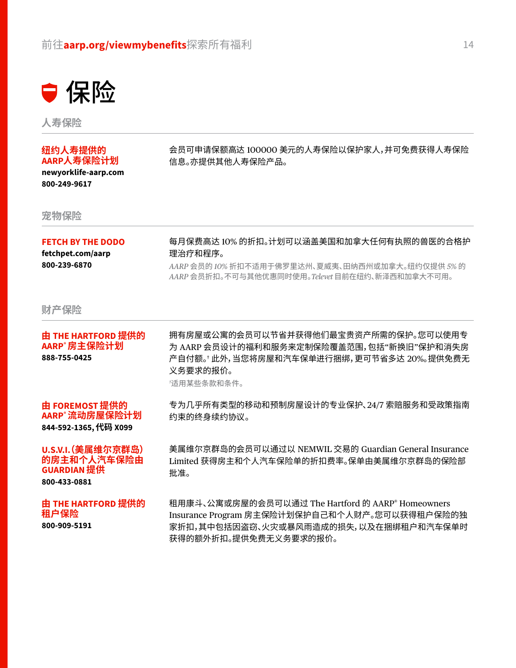

**人寿保险**

#### **纽约人寿提供的 AARP人寿保险计划**

**[newyorklife-aarp.com](http://newyorklife-aarp.com) [800-249-9617](tel: 18002499617)**

会员可申请保额高达 100000 美元的人寿保险以保护家人,并可免费获得人寿保险 信息。亦提供其他人寿保险产品。

**宠物保险**

#### **FETCH BY THE DODO**

**[fetchpet.com/aarp](http://fetchpet.com/aarp) [800-239-6870](tel: 18002396870)**

每月保费高达 10% 的折扣。计划可以涵盖美国和加拿大任何有执照的兽医的合格护 理治疗和程序。

*AARP* 会员的 *10%* 折扣不适用于佛罗里达州、夏威夷、田纳西州或加拿大。纽约仅提供 *5%* 的 *AARP* 会员折扣。不可与其他优惠同时使用。*Televet* 目前在纽约、新泽西和加拿大不可用。

**财产保险**

| 由 THE HARTFORD 提供的<br>AARP®房主保险计划<br>888-755-0425                       | 拥有房屋或公寓的会员可以节省并获得他们最宝贵资产所需的保护。您可以使用专<br>为 AARP 会员设计的福利和服务来定制保险覆盖范围,包括"新换旧"保护和消失房<br>产自付额。' 此外,当您将房屋和汽车保单进行捆绑,更可节省多达 20%。提供免费无<br>义务要求的报价。<br>*适用某些条款和条件。 |
|-------------------------------------------------------------------------|----------------------------------------------------------------------------------------------------------------------------------------------------------|
| 由 FOREMOST 提供的<br>AARP®流动房屋保险计划<br>844-592-1365, 代码 X099                | 专为几乎所有类型的移动和预制房屋设计的专业保护、24/7 索赔服务和受政策指南<br>约束的终身续约协议。                                                                                                    |
| U.S.V.I. (美属维尔京群岛)<br>的房主和个人汽车保险由<br><b>GUARDIAN 提供</b><br>800-433-0881 | 美属维尔京群岛的会员可以通过以 NEMWIL 交易的 Guardian General Insurance<br>Limited 获得房主和个人汽车保险单的折扣费率。保单由美属维尔京群岛的保险部<br>批准。                                                 |
| 由 THE HARTFORD 提供的<br>租户保险                                              | 租用康斗、公寓或房屋的会员可以通过 The Hartford 的 AARP® Homeowners<br>Insurance Program 房主保险计划保护自己和个人财产。您可以获得租户保险的独                                                       |

**[800-909-5191](tel: 18009095191)**

Insurance Program 房主保险计划保护自己和个人财产。您可以获得租户保险的独 家折扣,其中包括因盗窃、火灾或暴风雨造成的损失,以及在捆绑租户和汽车保单时 获得的额外折扣。提供免费无义务要求的报价。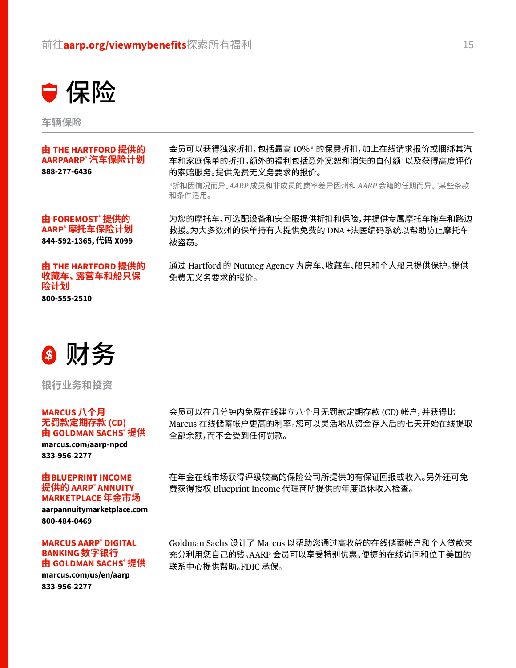

**车辆保险**

#### **由 THE HARTFORD 提供的 AARPAARP® 汽车保险计划 [888-277-6436](tel: 18882776436)**

会员可以获得独家折扣,包括最高 10%\* 的保费折扣,加上在线请求报价或捆绑其汽 车和家庭保单的折扣。额外的福利包括意外宽恕和消失的自付额† 以及获得高度评价 的索赔服务。提供免费无义务要求的报价。

*\**折扣因情况而异。*AARP* 成员和非成员的费率差异因州和 *AARP* 会籍的任期而异。*†* 某些条款 和条件适用。

**由 FOREMOST® 提供的 AARP® 摩托车保险计划 [844-592-1365,](tel: 18445921365) 代码 X099** 为您的摩托车、可选配设备和安全服提供折扣和保险,并提供专属摩托车拖车和路边 救援。为大多数州的保单持有人提供免费的 DNA +法医编码系统以帮助防止摩托车 被盗窃。

#### **由 THE HARTFORD 提供的 收藏车、露营车和船只保 险计划**

**[800-555-2510](tel: 18005552510)**

通过 Hartford 的 Nutmeg Agency 为房车、收藏车、船只和个人船只提供保护。提供 免费无义务要求的报价。

❸ 财务

**银行业务和投资**

#### **MARCUS 八个月 无罚款定期存款 (CD) 由 GOLDMAN SACHS® 提供**

**[marcus.com/aarp-npcd](http://marcus.com/aarp-npcd) [833-956-2277](tel: 18339562277)**

#### **由BLUEPRINT INCOME 提供的 AARP® ANNUITY MARKETPLACE 年金市场**

**[aarpannuitymarketplace.com](http://aarpannuitymarketplace.com) [800-484-0469](tel: 18004840469)**

#### **MARCUS AARP® DIGITAL BANKING 数字银行 由 GOLDMAN SACHS® 提供**

**[marcus.com/us/en/aarp](http://marcus.com/us/en/aarp) [833-956-2277](tel: 18339562277)**

会员可以在几分钟内免费在线建立八个月无罚款定期存款 (CD) 帐户,并获得比 Marcus 在线储蓄帐户更高的利率。您可以灵活地从资金存入后的七天开始在线提取 全部余额,而不会受到任何罚款。

在年金在线市场获得评级较高的保险公司所提供的有保证回报或收入。另外还可免 费获得授权 Blueprint Income 代理商所提供的年度退休收入检查。

Goldman Sachs 设计了 Marcus 以帮助您通过高收益的在线储蓄帐户和个人贷款来 充分利用您自己的钱。AARP 会员可以享受特别优惠。便捷的在线访问和位于美国的 联系中心提供帮助。FDIC 承保。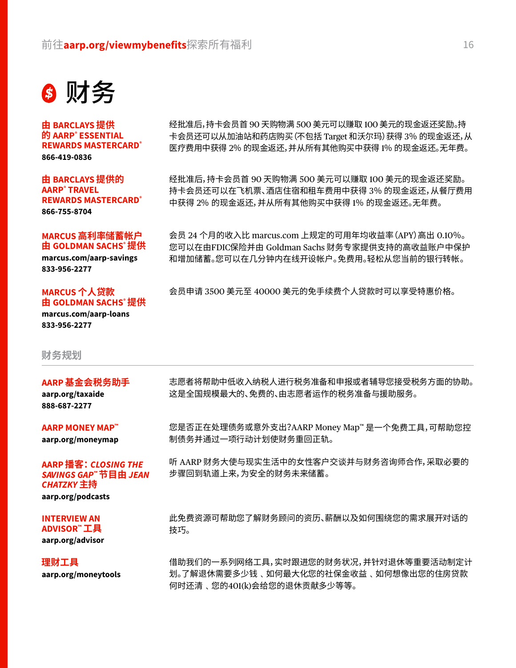

**由 BARCLAYS 提供 的 AARP® ESSENTIAL REWARDS MASTERCARD® [866-419-0836](tel: 18664190836)** 

**由 BARCLAYS 提供的 AARP® TRAVEL REWARDS MASTERCARD® [866-755-8704](tel: 18667558704)**

**MARCUS 高利率储蓄帐户 由 GOLDMAN SACHS® 提供**

**[marcus.com/aarp-savings](http://marcus.com/aarp-savings) [833-956-2277](tel: 18339562277)**

#### **MARCUS 个人贷款 由 GOLDMAN SACHS® 提供**

**[marcus.com/aarp-loans](http://marcus.com/aarp-loans) [833-956-2277](tel: 18369562277)**

**财务规划**

#### **AARP 基金会税务助手**

**[aarp.org/taxaide](http://aarp.org/taxaide) [888-687-2277](tel: 18886872277)**

#### **AARP MONEY MAP™**

**[aarp.org/moneymap](http://aarp.org/moneymap)**

#### **AARP 播客:***CLOSING THE SAVINGS GAP™* **节目由** *JEAN CHATZKY* **主持**

**[aarp.org/podcasts](http://aarp.org/podcasts)**

#### **INTERVIEW AN ADVISOR™ 工具**

**[aarp.org/advisor](http://aarp.org/advisor)**

**理财工具 [aarp.org/moneytools](http://aarp.org/moneytools)** 经批准后,持卡会员首 90 天购物满 500 美元可以赚取 100 美元的现金返还奖励。持 卡会员还可以从加油站和药店购买(不包括 Target 和沃尔玛)获得 3% 的现金返还,从 医疗费用中获得 2% 的现金返还,并从所有其他购买中获得 1% 的现金返还。无年费。

经批准后,持卡会员首 90 天购物满 500 美元可以赚取 100 美元的现金返还奖励。 持卡会员还可以在飞机票、酒店住宿和租车费用中获得 3% 的现金返还,从餐厅费用 中获得 2% 的现金返还,并从所有其他购买中获得 1% 的现金返还。无年费。

会员 24 个月的收入比 [marcus.com](http://marcus.com) 上规定的可用年均收益率(APY)高出 0.10%。 您可以在由FDIC保险并由 Goldman Sachs 财务专家提供支持的高收益账户中保护 和增加储蓄。您可以在几分钟内在线开设帐户。免费用。轻松从您当前的银行转帐。

会员申请 3500 美元至 40000 美元的免手续费个人贷款时可以享受特惠价格。

志愿者将帮助中低收入纳税人进行税务准备和申报或者辅导您接受税务方面的协助。 这是全国规模最大的、免费的、由志愿者运作的税务准备与援助服务。

您是否正在处理债务或意外支出?AARP Money Map™ 是一个免费工具,可帮助您控 制债务并通过一项行动计划使财务重回正轨。

听 AARP 财务大使与现实生活中的女性客户交谈并与财务咨询师合作,采取必要的 步骤回到轨道上来,为安全的财务未来储蓄。

此免费资源可帮助您了解财务顾问的资历、薪酬以及如何围绕您的需求展开对话的 技巧。

借助我们的一系列网络工具,实时跟进您的财务状况,并针对退休等重要活动制定计 划。了解退休需要多少钱﹑如何最大化您的社保金收益﹑如何想像出您的住房贷款 何时还清﹑您的401(k)会给您的退休贡献多少等等。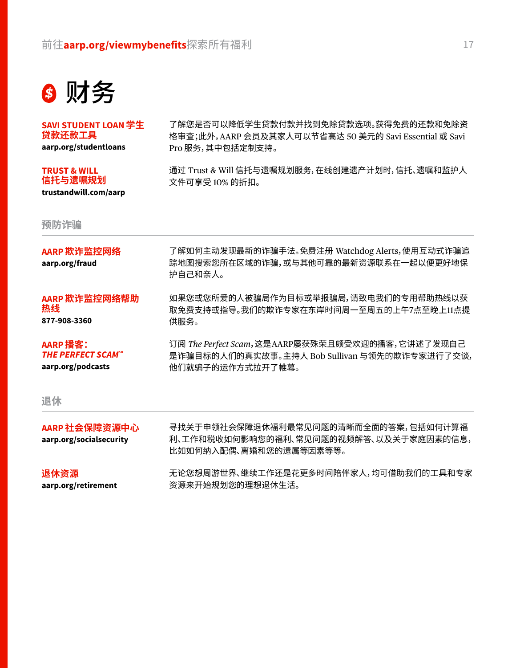

**SAVI STUDENT LOAN 学生 贷款还款工具**

**[aarp.org/studentloans](http://aarp.org/studentloans)**

#### **TRUST & WILL 信托与遗嘱规划**

**trustandwill.com/aarp** 

**预防诈骗**

了解您是否可以降低学生贷款付款并找到免除贷款选项。获得免费的还款和免除资 格审查;此外,AARP 会员及其家人可以节省高达 50 美元的 Savi Essential 或 Savi Pro 服务,其中包括定制支持。

通过 Trust & Will 信托与遗嘱规划服务,在线创建遗产计划时,信托、遗嘱和监护人 文件可享受 10% 的折扣。

| AARP 欺诈监控网络<br>aarp.org/fraud                                         | 了解如何主动发现最新的诈骗手法。免费注册 Watchdog Alerts,使用互动式诈骗追<br>踪地图搜索您所在区域的诈骗,或与其他可靠的最新资源联系在一起以便更好地保<br>护自己和亲人。                       |
|-----------------------------------------------------------------------|------------------------------------------------------------------------------------------------------------------------|
| AARP 欺诈监控网络帮助<br>热线<br>877-908-3360                                   | 如果您或您所爱的人被骗局作为目标或举报骗局,请致电我们的专用帮助热线以获<br>取免费支持或指导。我们的欺诈专家在东岸时间周一至周五的上午7点至晚上11点提<br>供服务。                                 |
| AARP 播客:<br><b>THE PERFECT SCAM<sup>SM</sup></b><br>aarp.org/podcasts | 订阅 The Perfect Scam, 这是AARP屡获殊荣且颇受欢迎的播客, 它讲述了发现自己<br>是诈骗目标的人们的真实故事。主持人 Bob Sullivan 与领先的欺诈专家进行了交谈,<br>他们就骗子的运作方式拉开了帷幕。 |
| 退休                                                                    |                                                                                                                        |
| AARP 社会保障资源中心                                                         | 寻找关于申领社会保障退休福利最常见问题的清晰而全面的答案,包括如何计算福                                                                                   |

**AARP 社会保障资源中心 [aarp.org/socialsecurity](http://aarp.org/socialsecurity)** 利、工作和税收如何影响您的福利、常见问题的视频解答、以及关于家庭因素的信息, 比如如何纳入配偶、离婚和您的遗属等因素等等。

**退休资源 [aarp.org/retirement](http://aarp.org/retirement)** 无论您想周游世界、继续工作还是花更多时间陪伴家人,均可借助我们的工具和专家 资源来开始规划您的理想退休生活。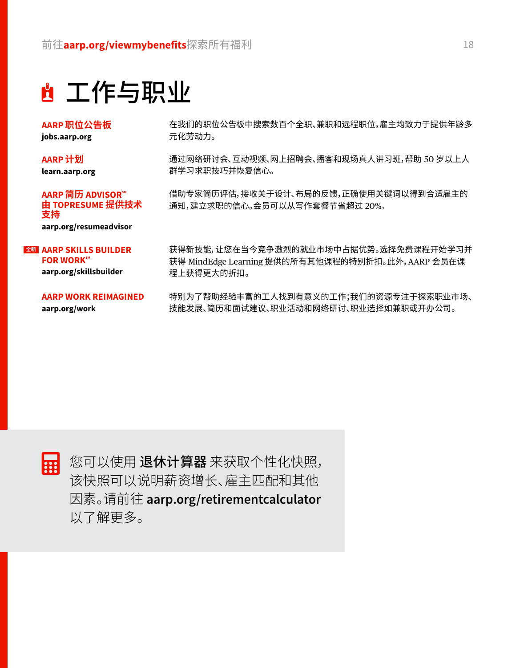## 工作与职业

**AARP 职位公告板 [jobs.aarp.org](http://jobs.aarp.org)**

**AARP 计划 [learn.aarp.org](http://learn.aarp.org)**

**AARP 简历 ADVISORSM 由 TOPRESUME 提供技术 支持 [aarp.org/resumeadvisor](http://aarp.org/resumeadvisor)**

#### **AARP SKILLS BUILDER 全新FOR WORKSM**

**[aarp.org/skillsbuilder](http://aarp.org/skillsbuilder)**

#### **AARP WORK REIMAGINED**

**[aarp.org/work](http://aarp.org/work)**

在我们的职位公告板中搜索数百个全职、兼职和远程职位,雇主均致力于提供年龄多 元化劳动力。

通过网络研讨会、互动视频、网上招聘会、播客和现场真人讲习班,帮助 50 岁以上人 群学习求职技巧并恢复信心。

借助专家简历评估,接收关于设计、布局的反馈,正确使用关键词以得到合适雇主的 通知,建立求职的信心。会员可以从写作套餐节省超过 20%。

获得新技能,让您在当今竞争激烈的就业市场中占据优势。选择免费课程开始学习并 获得 MindEdge Learning 提供的所有其他课程的特别折扣。此外,AARP 会员在课 程上获得更大的折扣。

特别为了帮助经验丰富的工人找到有意义的工作;我们的资源专注于探索职业市场、 技能发展、简历和面试建议、职业活动和网络研讨、职业选择如兼职或开办公司。



您可以使用 退休计算器 来获取个性化快照, 该快照可以说明薪资增长、雇主匹配和其他 因素。请前往 **[aarp.org/retirementcalculator](http://aarp.org/retirementcalculator)** 以了解更多。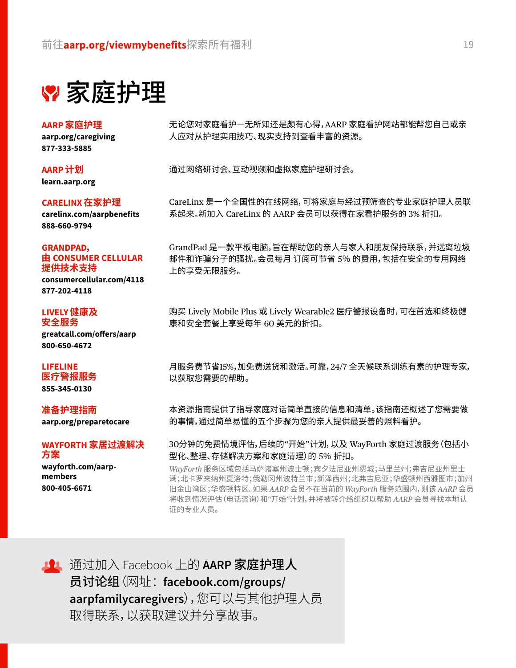家庭护理

**AARP 家庭护理**

**[aarp.org/caregiving](http://aarp.org/caregiving) [877-333-5885](tel: 18773335885)**

**AARP 计划 [learn.aarp.org](http://learn.aarp.org)**

**CARELINX 在家护理**

**[carelinx.com/aarpbenefits](http://carelinx.com/aarpbenefits) [888-660-9794](tel: 18886609794)** 

#### **GRANDPAD, 由 CONSUMER CELLULAR 提供技术支持**

**[consumercellular.com/4118](http://consumercellular.com/4118) [877-202-4118](tel: 18772024118)**

#### **LIVELY 健康及 安全服务**

**[greatcall.com/offers/aarp](http://greatcall.com/offers/aarp) [800-650-4672](tel: 18006504672)**

#### **LIFELINE**

**医疗警报服务 [855-345-0130](tel: 18553450130)**

#### **准备护理指南**

**[aarp.org/preparetocare](http://aarp.org/preparetocare)**

#### **WAYFORTH 家居过渡解决 方案**

**[wayforth.com/aarp](http://wayforth.com/aarp-members)[members](http://wayforth.com/aarp-members) [800-405-6671](tel: 18004056671)**

无论您对家庭看护一无所知还是颇有心得,AARP 家庭看护网站都能帮您自己或亲 人应对从护理实用技巧、现实支持到查看丰富的资源。

通过网络研讨会、互动视频和虚拟家庭护理研讨会。

CareLinx 是一个全国性的在线网络,可将家庭与经过预筛查的专业家庭护理人员联 系起来。新加入 CareLinx 的 AARP 会员可以获得在家看护服务的 3% 折扣。

GrandPad 是一款平板电脑,旨在帮助您的亲人与家人和朋友保持联系,并远离垃圾 邮件和诈骗分子的骚扰。会员每月 订阅可节省 5% 的费用,包括在安全的专用网络 上的享受无限服务。

购买 Lively Mobile Plus 或 Lively Wearable2 医疗警报设备时,可在首选和终极健 康和安全套餐上享受每年 60 美元的折扣。

月服务费节省15%,加免费送货和激活。可靠,24/7 全天候联系训练有素的护理专家, 以获取您需要的帮助。

本资源指南提供了指导家庭对话简单直接的信息和清单。该指南还概述了您需要做 的事情,通过简单易懂的五个步骤为您的亲人提供最妥善的照料看护。

30分钟的免费情境评估,后续的"开始"计划,以及 WayForth 家庭过渡服务(包括小 型化、整理、存储解决方案和家庭清理)的 5% 折扣。

*WayForth* 服务区域包括马萨诸塞州波士顿;宾夕法尼亚州费城;马里兰州;弗吉尼亚州里士 满;北卡罗来纳州夏洛特;俄勒冈州波特兰市;新泽西州;北弗吉尼亚;华盛顿州西雅图市;加州 旧金山湾区;华盛顿特区。如果 *AARP* 会员不在当前的 *WayForth* 服务范围内,则该 *AARP* 会员 将收到情况评估(电话咨询)和*"*开始*"*计划,并将被转介给组织以帮助 *AARP* 会员寻找本地认 证的专业人员。



**10 通过加入 Facebook 上的 AARP 家庭护理人** 员讨论组(网址: **[facebook.com/groups/](http://facebook.com/groups/aarpfamilycaregivers) [aarpfamilycaregivers](http://facebook.com/groups/aarpfamilycaregivers)**),您可以与其他护理人员 取得联系,以获取建议并分享故事。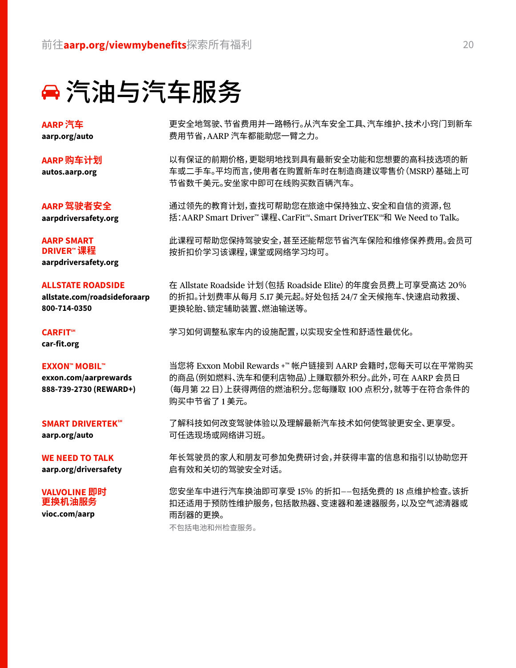### 汽油与汽车服务

**AARP 汽车 [aarp.org/auto](http://aarp.org/auto)**

**AARP 购车计划 [autos.aarp.org](http://autos.aarp.org)**

**AARP 驾驶者安全 [aarpdriversafety.org](http://aarpdriversafety.org)**

**AARP SMART DRIVER™ 课程 [aarpdriversafety.org](http://aarpdriversafety.org)**

#### **ALLSTATE ROADSIDE**

**[allstate.com/roadsideforaarp](http://allstate.com/roadsideforaarp) [800-714-0350](tel: 18007140350)**

**CARFITSM**

**[car-fit.org](http://car-fit.org)**

#### **EXXON™ MOBIL™**

**[exxon.com/aarprewards](http://exxon.com/aarprewards) [888-739-2730 \(REWARD+\)](tel: 18887392730)**

#### **SMART DRIVERTEKSM**

**[aarp.org/auto](http://aarp.org/auto)**

**WE NEED TO TALK [aarp.org/driversafety](http://aarp.org/driversafety)**

#### **VALVOLINE 即时 更换机油服务**

**[vioc.com/aarp](http://vioc.com/aarp)**

更安全地驾驶、节省费用并一路畅行。从汽车安全工具、汽车维护、技术小窍门到新车 费用节省,AARP 汽车都能助您一臂之力。

以有保证的前期价格,更聪明地找到具有最新安全功能和您想要的高科技选项的新 车或二手车。平均而言,使用者在购置新车时在制造商建议零售价(MSRP)基础上可 节省数千美元。安坐家中即可在线购买数百辆汽车。

通过领先的教育计划,查找可帮助您在旅途中保持独立、安全和自信的资源,包 括:AARP Smart Driver™ 课程、CarFit™、Smart DriverTEK™和 We Need to Talk。

此课程可帮助您保持驾驶安全,甚至还能帮您节省汽车保险和维修保养费用。会员可 按折扣价学习该课程,课堂或网络学习均可。

在 Allstate Roadside 计划(包括 Roadside Elite)的年度会员费上可享受高达 20% 的折扣。计划费率从每月 5.17 美元起。好处包括 24/7 全天候拖车、快速启动救援、 更换轮胎、锁定辅助装置、燃油输送等。

学习如何调整私家车内的设施配置,以实现安全性和舒适性最优化。

当您将 Exxon Mobil Rewards +™ 帐户链接到 AARP 会籍时,您每天可以在平常购买 的商品(例如燃料、洗车和便利店物品)上赚取额外积分。此外,可在 AARP 会员日 (每月第 22 日)上获得两倍的燃油积分。您每赚取 100 点积分,就等于在符合条件的 购买中节省了 1 美元。

了解科技如何改变驾驶体验以及理解最新汽车技术如何使驾驶更安全、更享受。 可任选现场或网络讲习班。

年长驾驶员的家人和朋友可参加免费研讨会,并获得丰富的信息和指引以协助您开 启有效和关切的驾驶安全对话。

您安坐车中进行汽车换油即可享受 15% 的折扣——包括免费的 18 点维护检查。该折 扣还适用于预防性维护服务,包括散热器、变速器和差速器服务,以及空气滤清器或 雨刮器的更换。

不包括电池和州检查服务。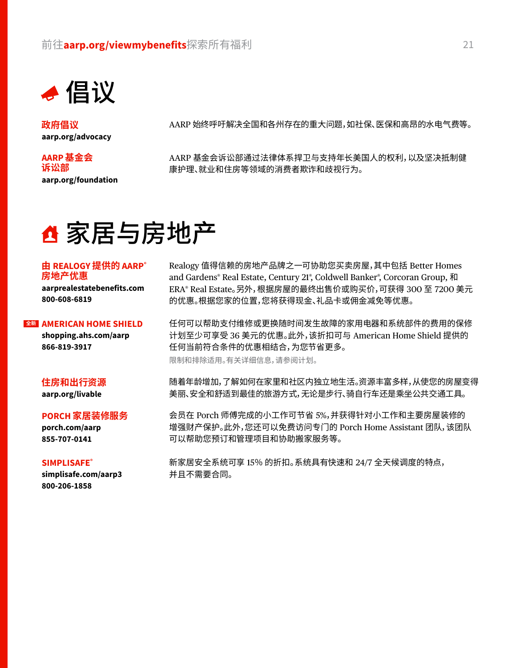

**政府倡议 [aarp.org/advocacy](http://aarp.org/advocacy)**

#### **AARP 基金会 诉讼部 [aarp.org/foundation](http://aarp.org/foundation)**

AARP 始终呼吁解决全国和各州存在的重大问题,如社保、医保和高昂的水电气费等。

AARP 基金会诉讼部通过法律体系捍卫与支持年长美国人的权利,以及坚决抵制健 康护理、就业和住房等领域的消费者欺诈和歧视行为。

### △家居与房地产

#### **由 REALOGY 提供的 AARP® 房地产优惠**

**[aarprealestatebenefits.com](http://aarprealestatebenefits.com) [800-608-6819](tel: 18006086819)**

#### **AMERICAN HOME SHIELD 全新**

**[shopping.ahs.com/aarp](http://shopping.ahs.com/aarp) [866-819-3917](tel: 18668193917)**

#### **住房和出行资源**

**[aarp.org/livable](http://aarp.org/livable)**

#### **PORCH 家居装修服务**

**[porch.com/aarp](http://porch.com/aarp) [855-707-0141](tel: 18557070141)**

#### **SIMPLISAFE®**

**[simplisafe.com/aarp3](http://simplisafe.com/aarp3) [800-206-1858](tel: 18002061858)**

Realogy 值得信赖的房地产品牌之一可协助您买卖房屋,其中包括 Better Homes and Gardens® Real Estate, Century 21® , Coldwell Banker® , Corcoran Group, 和 ERA® Real Estate。另外,根据房屋的最终出售价或购买价,可获得 300 至 7200 美元 的优惠。根据您家的位置,您将获得现金、礼品卡或佣金减免等优惠。

任何可以帮助支付维修或更换随时间发生故障的家用电器和系统部件的费用的保修 计划至少可享受 36 美元的优惠。此外,该折扣可与 American Home Shield 提供的 任何当前符合条件的优惠相结合,为您节省更多。 限制和排除适用。有关详细信息,请参阅计划。

随着年龄增加,了解如何在家里和社区内独立地生活。资源丰富多样,从使您的房屋变得 美丽、安全和舒适到最佳的旅游方式,无论是步行、骑自行车还是乘坐公共交通工具。

会员在 Porch 师傅完成的小工作可节省 5%,并获得针对小工作和主要房屋装修的 增强财产保护。此外,您还可以免费访问专门的 Porch Home Assistant 团队,该团队 可以帮助您预订和管理项目和协助搬家服务等。

新家居安全系统可享 15% 的折扣。系统具有快速和 24/7 全天候调度的特点, 并且不需要合同。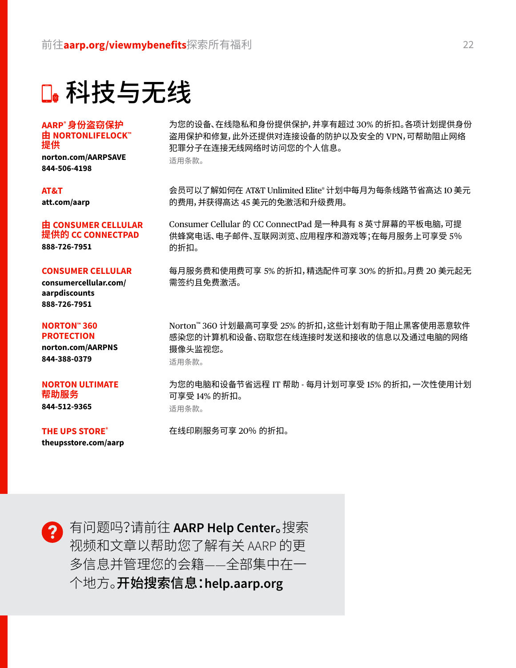科技与无线

**AARP® 身份盗窃保护 由 NORTONLIFELOCK™ 提供**

**[norton.com/AARPSAVE](http://norton.com/AARPSAVE) [844-506-4198](tel: 18445064198)**

#### **AT&T**

**[att.com/aarp](http://att.com/aarp)**

#### **由 CONSUMER CELLULAR 提供的 CC CONNECTPAD**

**[888-726-7951](tel: 18887267951)**

#### **CONSUMER CELLULAR**

**[consumercellular.com/](http://consumercellular.com/aarpdiscounts) [aarpdiscounts](http://consumercellular.com/aarpdiscounts) [888-726-7951](tel: 18887267951)**

#### **NORTON™ 360 PROTECTION**

**[norton.com/AARPNS](http://norton.com/AARPNS) [844-388-0379](tel: 18443880379)**

#### **NORTON ULTIMATE 帮助服务**

**[844-512-9365](tel: 18445129365)**

#### **THE UPS STORE®**

**[theupsstore.com/aarp](http://theupsstore.com/aarp)**

为您的设备、在线隐私和身份提供保护,并享有超过 30% 的折扣。各项计划提供身份 盗用保护和修复,此外还提供对连接设备的防护以及安全的 VPN,可帮助阻止网络 犯罪分子在连接无线网络时访问您的个人信息。 适用条款。

会员可以了解如何在 AT&T Unlimited Elite® 计划中每月为每条线路节省高达 10 美元 的费用,并获得高达 45 美元的免激活和升级费用。

Consumer Cellular 的 CC ConnectPad 是一种具有 8 英寸屏幕的平板电脑,可提 供蜂窝电话、电子邮件、互联网浏览、应用程序和游戏等;在每月服务上可享受 5% 的折扣。

每月服务费和使用费可享 5% 的折扣,精选配件可享 30% 的折扣。月费 20 美元起无 需签约且免费激活。

Norton™ 360 计划最高可享受 25% 的折扣,这些计划有助于阻止黑客使用恶意软件 感染您的计算机和设备、窃取您在线连接时发送和接收的信息以及通过电脑的网络 摄像头监视您。 适用条款。

为您的电脑和设备节省远程 IT 帮助 - 每月计划可享受 15% 的折扣,一次性使用计划 可享受 14% 的折扣。 适用条款。

在线印刷服务可享 20% 的折扣。

有问题吗?请前往 **AARP Help Center**。搜索 视频和文章以帮助您了解有关 AARP 的更 多信息并管理您的会籍——全部集中在一 个地方。开始搜索信息:**[help.aarp.org](http://help.aarp.org)**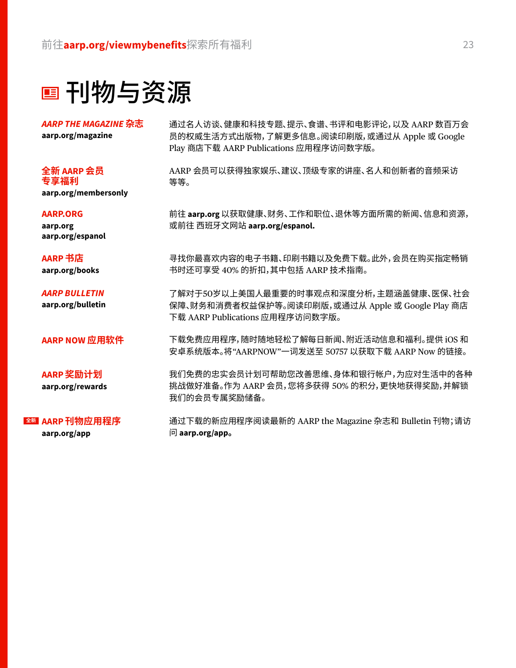刊物与资源

*AARP THE MAGAZINE* **杂志 aarp.org/magazine**

**全新 AARP 会员 专享福利**

**[aarp.org/membersonly](http://aarp.org/membersonly)**

#### **AARP.ORG**

**[aarp.org](http://aarp.org) [aarp.org/espanol](http://aarp.org/espanol)**

**AARP 书店 [aarp.org/books](http://aarp.org/books)**

*AARP BULLETIN* **aarp.org/bulletin**

**AARP NOW 应用软件**

**AARP 奖励计划 [aarp.org/rewards](http://aarp.org/rewards)**

**AARP 刊物应用程序 全新aarp.org/app**

通过名人访谈、健康和科技专题、提示、食谱、书评和电影评论,以及 AARP 数百万会 员的权威生活方式出版物,了解更多信息。阅读印刷版,或通过从 Apple 或 Google Play 商店下载 AARP Publications 应用程序访问数字版。

AARP 会员可以获得独家娱乐、建议、顶级专家的讲座、名人和创新者的音频采访 等等。

前往 **[aarp.org](http://aarp.org)** 以获取健康、财务、工作和职位、退休等方面所需的新闻、信息和资源, 或前往 西班牙文网站 **[aarp.org/espanol.](http://aarp.org/espanol)**

寻找你最喜欢内容的电子书籍、印刷书籍以及免费下载。此外,会员在购买指定畅销 书时还可享受 40% 的折扣,其中包括 AARP 技术指南。

了解对于50岁以上美国人最重要的时事观点和深度分析,主题涵盖健康、医保、社会 保障、财务和消费者权益保护等。阅读印刷版,或通过从 Apple 或 Google Play 商店 下载 AARP Publications 应用程序访问数字版。

下载免费应用程序,随时随地轻松了解每日新闻、附近活动信息和福利。提供 iOS 和 安卓系统版本。将"AARPNOW"一词发送至 50757 以获取下载 AARP Now 的链接。

我们免费的忠实会员计划可帮助您改善思维、身体和银行帐户,为应对生活中的各种 挑战做好准备。作为 AARP 会员,您将多获得 50% 的积分,更快地获得奖励,并解锁 我们的会员专属奖励储备。

通过下载的新应用程序阅读最新的 AARP the Magazine 杂志和 Bulletin 刊物;请访 问 **aarp.org/app。**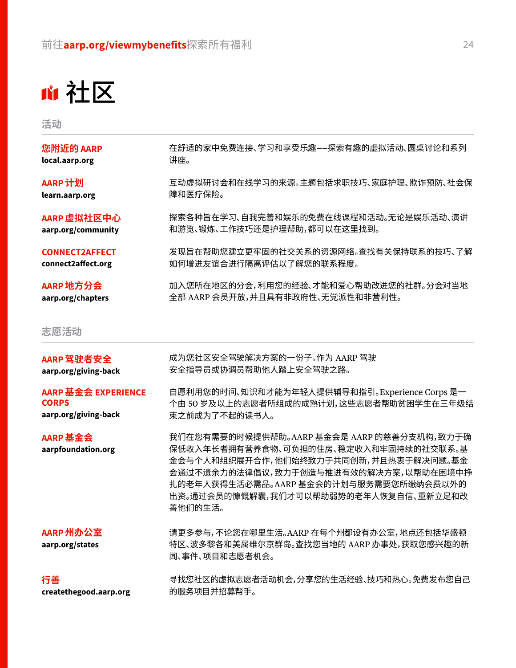社区

**活动**

| 您附近的 AARP                      | 在舒适的家中免费连接、学习和享受乐趣——探索有趣的虚拟活动、圆桌讨论和系列                                                                                                                                                                                                                               |
|--------------------------------|---------------------------------------------------------------------------------------------------------------------------------------------------------------------------------------------------------------------------------------------------------------------|
| local.aarp.org                 | 讲座。                                                                                                                                                                                                                                                                 |
| AARP 计划                        | 互动虚拟研讨会和在线学习的来源。主题包括求职技巧、家庭护理、欺诈预防、社会保                                                                                                                                                                                                                              |
| learn.aarp.org                 | 障和医疗保险。                                                                                                                                                                                                                                                             |
| AARP 虚拟社区中心                    | 探索各种旨在学习、自我完善和娱乐的免费在线课程和活动。无论是娱乐活动、演讲                                                                                                                                                                                                                               |
| aarp.org/community             | 和游览、锻炼、工作技巧还是护理帮助,都可以在这里找到。                                                                                                                                                                                                                                         |
| <b>CONNECT2AFFECT</b>          | 发现旨在帮助您建立更牢固的社交关系的资源网络。查找有关保持联系的技巧、了解                                                                                                                                                                                                                               |
| connect2affect.org             | 如何增进友谊合进行隔离评估以了解您的联系程度。                                                                                                                                                                                                                                             |
| AARP 地方分会                      | 加入您所在地区的分会,利用您的经验、才能和爱心帮助改进您的社群。分会对当地                                                                                                                                                                                                                               |
| aarp.org/chapters              | 全部 AARP 会员开放,并且具有非政府性、无党派性和非营利性。                                                                                                                                                                                                                                    |
| 志愿活动                           |                                                                                                                                                                                                                                                                     |
| AARP 驾驶者安全                     | 成为您社区安全驾驶解决方案的一份子。作为 AARP 驾驶                                                                                                                                                                                                                                        |
| aarp.org/giving-back           | 安全指导员或协调员帮助他人踏上安全驾驶之路。                                                                                                                                                                                                                                              |
| AARP 基金会 EXPERIENCE            | 自愿利用您的时间、知识和才能为年轻人提供辅导和指引。Experience Corps 是一                                                                                                                                                                                                                       |
| <b>CORPS</b>                   | 个由 50 岁及以上的志愿者所组成的成熟计划,这些志愿者帮助贫困学生在三年级结                                                                                                                                                                                                                             |
| aarp.org/giving-back           | 束之前成为了不起的读书人。                                                                                                                                                                                                                                                       |
| AARP 基金会<br>aarpfoundation.org | 我们在您有需要的时候提供帮助。AARP 基金会是 AARP 的慈善分支机构,致力于确<br>保低收入年长者拥有营养食物、可负担的住房、稳定收入和牢固持续的社交联系。基<br>金会与个人和组织展开合作,他们始终致力于共同创新,并且热衷于解决问题。基金<br>会通过不遗余力的法律倡议,致力于创造与推进有效的解决方案,以帮助在困境中挣<br>扎的老年人获得生活必需品。AARP 基金会的计划与服务需要您所缴纳会费以外的<br>出资。通过会员的慷慨解囊,我们才可以帮助弱势的老年人恢复自信、重新立足和改<br>善他们的生活。 |
| AARP 州办公室<br>aarp.org/states   | 请更多参与,不论您在哪里生活。AARP 在每个州都设有办公室,地点还包括华盛顿<br>特区、波多黎各和美属维尔京群岛。查找您当地的 AARP 办事处,获取您感兴趣的新<br>闻、事件、项目和志愿者机会。                                                                                                                                                               |
| 行善                             | 寻找您社区的虚拟志愿者活动机会,分享您的生活经验、技巧和热心。免费发布您自己                                                                                                                                                                                                                              |
| createthegood.aarp.org         | 的服务项目并招募帮手。                                                                                                                                                                                                                                                         |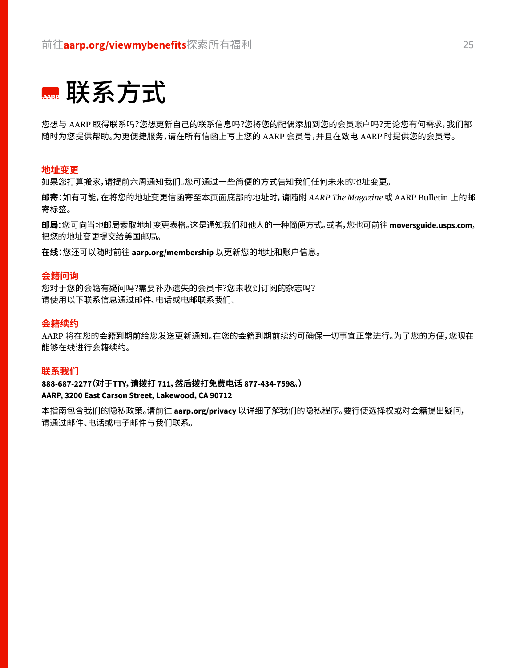

您想与 AARP 取得联系吗?您想更新自己的联系信息吗?您将您的配偶添加到您的会员账户吗?无论您有何需求,我们都 随时为您提供帮助。为更便捷服务,请在所有信函上写上您的 AARP 会员号,并且在致电 AARP 时提供您的会员号。

#### **地址变更**

如果您打算搬家,请提前六周通知我们。您可通过一些简便的方式告知我们任何未来的地址变更。

**邮寄:**如有可能,在将您的地址变更信函寄至本页面底部的地址时,请随附 *AARP The Magazine* 或 AARP Bulletin 上的邮 寄标签。

**邮局:**您可向当地邮局索取地址变更表格。这是通知我们和他人的一种简便方式。或者,您也可前往**[moversguide.usps.com](https://moversguide.usps.com)**, 把您的地址变更提交给美国邮局。

**在线:**您还可以随时前往 **[aarp.org/membership](http://aarp.org/membership)** 以更新您的地址和账户信息。

#### **会籍问询**

您对于您的会籍有疑问吗?需要补办遗失的会员卡?您未收到订阅的杂志吗? 请使用以下联系信息通过邮件、电话或电邮联系我们。

#### **会籍续约**

AARP 将在您的会籍到期前给您发送更新通知。在您的会籍到期前续约可确保一切事宜正常进行。为了您的方便,您现在 能够在线进行会籍续约。

#### **联系我们**

**[888-687-2277](tel:18886872277)(对于TTY,请拨打 711,然后拨打免费电话 877-434-7598。) AARP, 3200 East Carson Street, Lakewood, CA 90712**

本指南包含我们的隐私政策。请前往 **[aarp.org/privacy](http://aarp.org/privacy)** 以详细了解我们的隐私程序。要行使选择权或对会籍提出疑问, 请通过邮件、电话或电子邮件与我们联系。